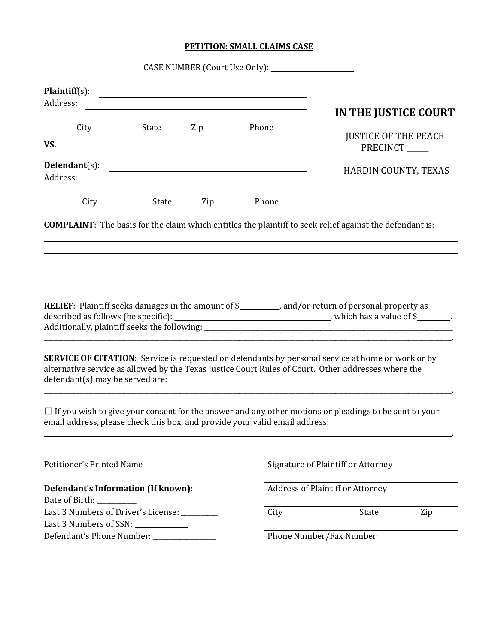## **PETITION: SMALL CLAIMS CASE**

| $Plaintiff(s)$ :<br><u> 1989 - Johann John Stein, fransk kampens og det forskellige og det forskellige og det forskellige og det fors</u><br>Address:<br><u> 1989 - Johann Barbara, martxa alemaniar amerikan a</u><br>State Zip Phone<br>City<br>VS.<br>PRECINCT<br>$Defendant(s):$<br><u> 1989 - Johann Barnett, fransk politiker (d. 1989)</u><br>Address:<br>State<br>Zip Phone<br>City<br><b>COMPLAINT</b> : The basis for the claim which entitles the plaintiff to seek relief against the defendant is:<br>RELIEF: Plaintiff seeks damages in the amount of \$___________, and/or return of personal property as<br><b>SERVICE OF CITATION:</b> Service is requested on defendants by personal service at home or work or by<br>alternative service as allowed by the Texas Justice Court Rules of Court. Other addresses where the<br>defendant(s) may be served are:<br>$\Box$ If you wish to give your consent for the answer and any other motions or pleadings to be sent to your<br>email address, please check this box, and provide your valid email address:<br>Petitioner's Printed Name<br>Signature of Plaintiff or Attorney<br><b>Address of Plaintiff or Attorney</b><br>Defendant's Information (If known):<br>Date of Birth:<br>Last 3 Numbers of Driver's License: _________<br>City<br>State<br>Last 3 Numbers of SSN:<br>Defendant's Phone Number: _____________<br>Phone Number/Fax Number |  |  |                             |
|------------------------------------------------------------------------------------------------------------------------------------------------------------------------------------------------------------------------------------------------------------------------------------------------------------------------------------------------------------------------------------------------------------------------------------------------------------------------------------------------------------------------------------------------------------------------------------------------------------------------------------------------------------------------------------------------------------------------------------------------------------------------------------------------------------------------------------------------------------------------------------------------------------------------------------------------------------------------------------------------------------------------------------------------------------------------------------------------------------------------------------------------------------------------------------------------------------------------------------------------------------------------------------------------------------------------------------------------------------------------------------------------------------------------|--|--|-----------------------------|
|                                                                                                                                                                                                                                                                                                                                                                                                                                                                                                                                                                                                                                                                                                                                                                                                                                                                                                                                                                                                                                                                                                                                                                                                                                                                                                                                                                                                                        |  |  |                             |
|                                                                                                                                                                                                                                                                                                                                                                                                                                                                                                                                                                                                                                                                                                                                                                                                                                                                                                                                                                                                                                                                                                                                                                                                                                                                                                                                                                                                                        |  |  | IN THE JUSTICE COURT        |
|                                                                                                                                                                                                                                                                                                                                                                                                                                                                                                                                                                                                                                                                                                                                                                                                                                                                                                                                                                                                                                                                                                                                                                                                                                                                                                                                                                                                                        |  |  | <b>JUSTICE OF THE PEACE</b> |
|                                                                                                                                                                                                                                                                                                                                                                                                                                                                                                                                                                                                                                                                                                                                                                                                                                                                                                                                                                                                                                                                                                                                                                                                                                                                                                                                                                                                                        |  |  |                             |
|                                                                                                                                                                                                                                                                                                                                                                                                                                                                                                                                                                                                                                                                                                                                                                                                                                                                                                                                                                                                                                                                                                                                                                                                                                                                                                                                                                                                                        |  |  | HARDIN COUNTY, TEXAS        |
|                                                                                                                                                                                                                                                                                                                                                                                                                                                                                                                                                                                                                                                                                                                                                                                                                                                                                                                                                                                                                                                                                                                                                                                                                                                                                                                                                                                                                        |  |  |                             |
|                                                                                                                                                                                                                                                                                                                                                                                                                                                                                                                                                                                                                                                                                                                                                                                                                                                                                                                                                                                                                                                                                                                                                                                                                                                                                                                                                                                                                        |  |  |                             |
|                                                                                                                                                                                                                                                                                                                                                                                                                                                                                                                                                                                                                                                                                                                                                                                                                                                                                                                                                                                                                                                                                                                                                                                                                                                                                                                                                                                                                        |  |  |                             |
|                                                                                                                                                                                                                                                                                                                                                                                                                                                                                                                                                                                                                                                                                                                                                                                                                                                                                                                                                                                                                                                                                                                                                                                                                                                                                                                                                                                                                        |  |  |                             |
|                                                                                                                                                                                                                                                                                                                                                                                                                                                                                                                                                                                                                                                                                                                                                                                                                                                                                                                                                                                                                                                                                                                                                                                                                                                                                                                                                                                                                        |  |  |                             |
|                                                                                                                                                                                                                                                                                                                                                                                                                                                                                                                                                                                                                                                                                                                                                                                                                                                                                                                                                                                                                                                                                                                                                                                                                                                                                                                                                                                                                        |  |  |                             |
|                                                                                                                                                                                                                                                                                                                                                                                                                                                                                                                                                                                                                                                                                                                                                                                                                                                                                                                                                                                                                                                                                                                                                                                                                                                                                                                                                                                                                        |  |  |                             |
|                                                                                                                                                                                                                                                                                                                                                                                                                                                                                                                                                                                                                                                                                                                                                                                                                                                                                                                                                                                                                                                                                                                                                                                                                                                                                                                                                                                                                        |  |  |                             |
|                                                                                                                                                                                                                                                                                                                                                                                                                                                                                                                                                                                                                                                                                                                                                                                                                                                                                                                                                                                                                                                                                                                                                                                                                                                                                                                                                                                                                        |  |  |                             |
|                                                                                                                                                                                                                                                                                                                                                                                                                                                                                                                                                                                                                                                                                                                                                                                                                                                                                                                                                                                                                                                                                                                                                                                                                                                                                                                                                                                                                        |  |  | Zip                         |
|                                                                                                                                                                                                                                                                                                                                                                                                                                                                                                                                                                                                                                                                                                                                                                                                                                                                                                                                                                                                                                                                                                                                                                                                                                                                                                                                                                                                                        |  |  |                             |